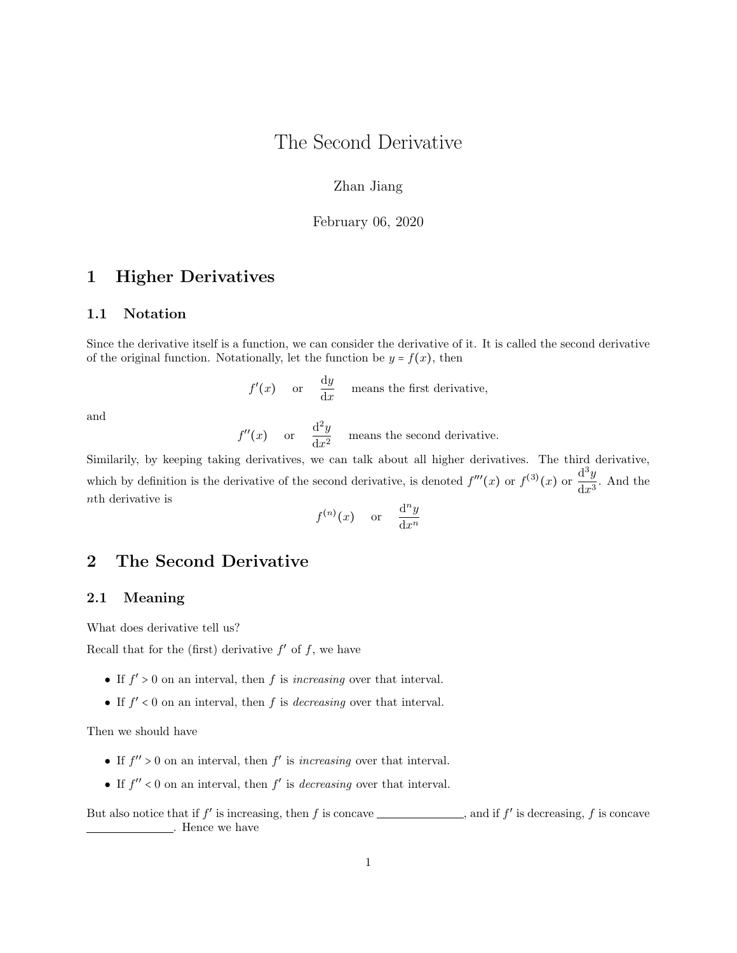# The Second Derivative

#### Zhan Jiang

February 06, 2020

### 1 Higher Derivatives

#### 1.1 Notation

Since the derivative itself is a function, we can consider the derivative of it. It is called the second derivative of the original function. Notationally, let the function be  $y = f(x)$ , then

$$
f'(x)
$$
 or  $\frac{dy}{dx}$  means the first derivative,

and

$$
f''(x)
$$
 or  $\frac{d^2y}{dx^2}$  means the second derivative.

Similarily, by keeping taking derivatives, we can talk about all higher derivatives. The third derivative, which by definition is the derivative of the second derivative, is denoted  $f'''(x)$  or  $f^{(3)}(x)$  or  $\frac{d^3y}{dx^3}$  $\frac{d^2y}{dx^3}$ . And the nth derivative is

$$
f^{(n)}(x)
$$
 or  $\frac{d^n y}{dx^n}$ 

## 2 The Second Derivative

#### 2.1 Meaning

What does derivative tell us?

Recall that for the (first) derivative  $f'$  of  $f$ , we have

- If  $f' > 0$  on an interval, then f is *increasing* over that interval.
- If  $f' < 0$  on an interval, then f is *decreasing* over that interval.

Then we should have

- If  $f'' > 0$  on an interval, then  $f'$  is *increasing* over that interval.
- If  $f'' < 0$  on an interval, then  $f'$  is *decreasing* over that interval.

But also notice that if  $f'$  is increasing, then f is concave <u>equal that if</u> is decreasing, f is concave **Example 2.** Hence we have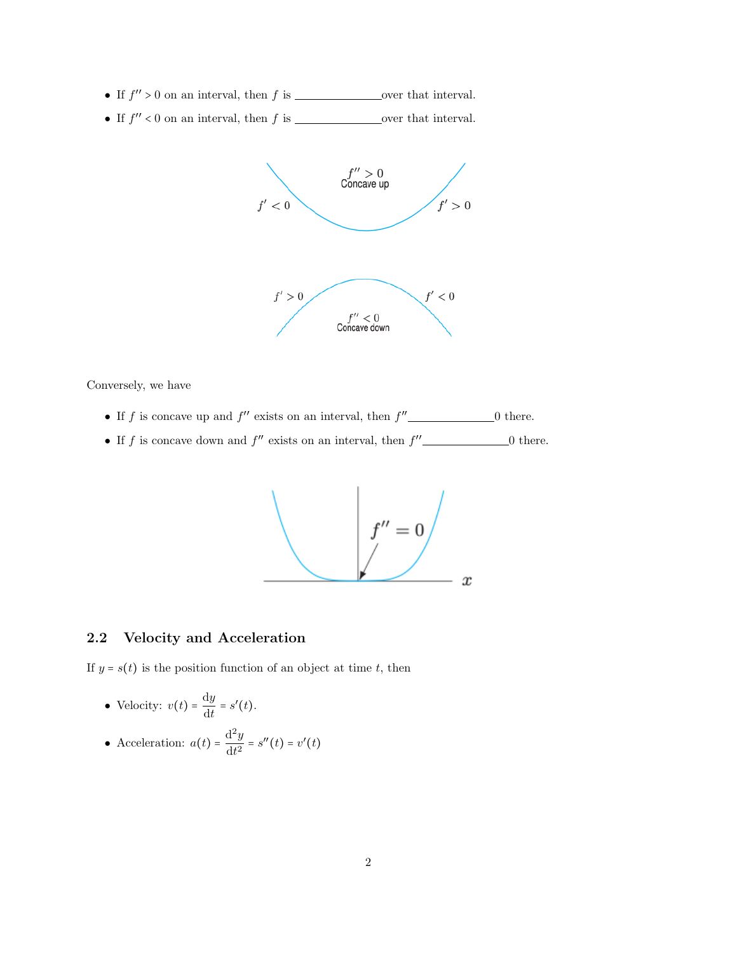- If f ′′ > 0 on an interval, then f is over that interval.
- If f ′′ < 0 on an interval, then f is over that interval.



Conversely, we have

- If f is concave up and f ′′ exists on an interval, then f ′′ 0 there.
- If f is concave down and f ′′ exists on an interval, then f ′′ 0 there.



## 2.2 Velocity and Acceleration

If  $y = s(t)$  is the position function of an object at time t, then

• Velocity: 
$$
v(t) = \frac{dy}{dt} = s'(t)
$$
.

• Acceleration: 
$$
a(t) = \frac{d^2y}{dt^2} = s''(t) = v'(t)
$$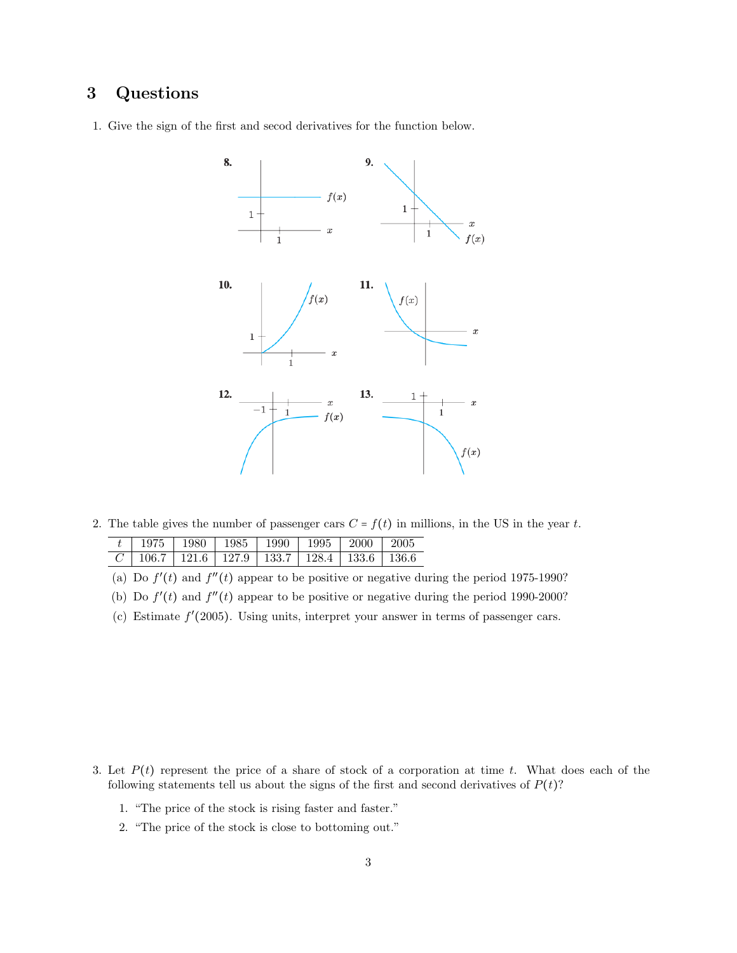# 3 Questions

1. Give the sign of the first and secod derivatives for the function below.



2. The table gives the number of passenger cars  $C = f(t)$  in millions, in the US in the year t.

| 1975   1980   1985   1990   1995   2000   2005              |  |  |  |
|-------------------------------------------------------------|--|--|--|
| $C$   106.7   121.6   127.9   133.7   128.4   133.6   136.6 |  |  |  |

- (a) Do  $f'(t)$  and  $f''(t)$  appear to be positive or negative during the period 1975-1990?
- (b) Do  $f'(t)$  and  $f''(t)$  appear to be positive or negative during the period 1990-2000?
- $(c)$  Estimate  $f'(2005)$ . Using units, interpret your answer in terms of passenger cars.

- 3. Let  $P(t)$  represent the price of a share of stock of a corporation at time t. What does each of the following statements tell us about the signs of the first and second derivatives of  $P(t)$ ?
	- 1. "The price of the stock is rising faster and faster."
	- 2. "The price of the stock is close to bottoming out."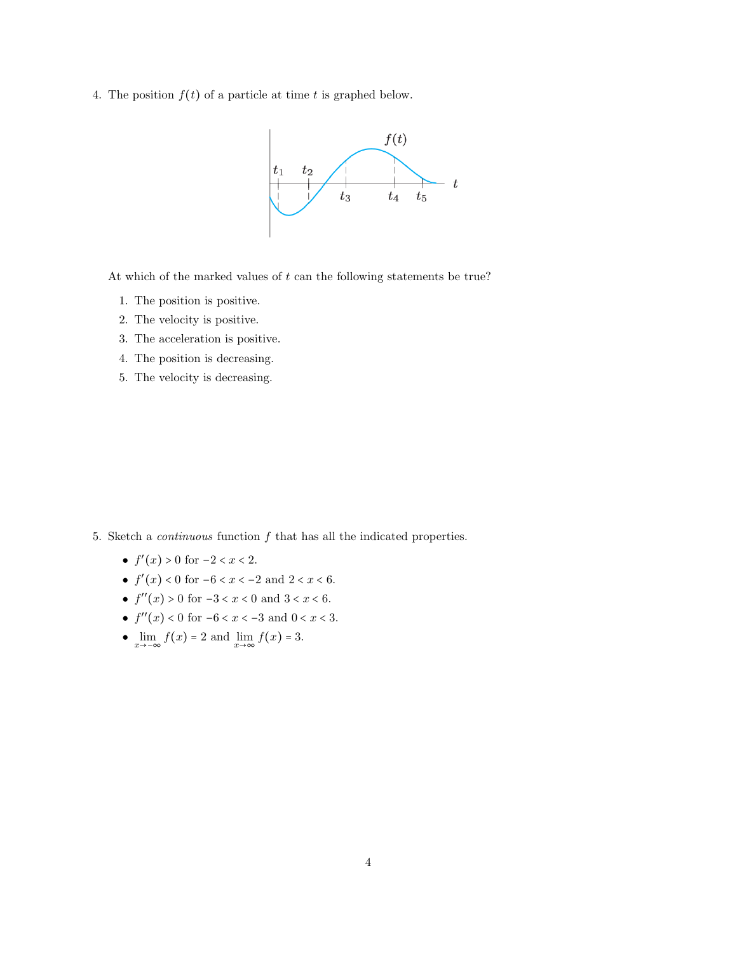4. The position  $f(t)$  of a particle at time t is graphed below.



At which of the marked values of  $t$  can the following statements be true?

- 1. The position is positive.
- 2. The velocity is positive.
- 3. The acceleration is positive.
- 4. The position is decreasing.
- 5. The velocity is decreasing.

- 5. Sketch a *continuous* function  $f$  that has all the indicated properties.
	- $f'(x) > 0$  for  $-2 < x < 2$ .
	- $f'(x) < 0$  for  $-6 < x < -2$  and  $2 < x < 6$ .
	- $f''(x) > 0$  for  $-3 < x < 0$  and  $3 < x < 6$ .
	- $f''(x) < 0$  for  $-6 < x < -3$  and  $0 < x < 3$ .
	- $\lim_{x \to -\infty} f(x) = 2$  and  $\lim_{x \to \infty} f(x) = 3$ .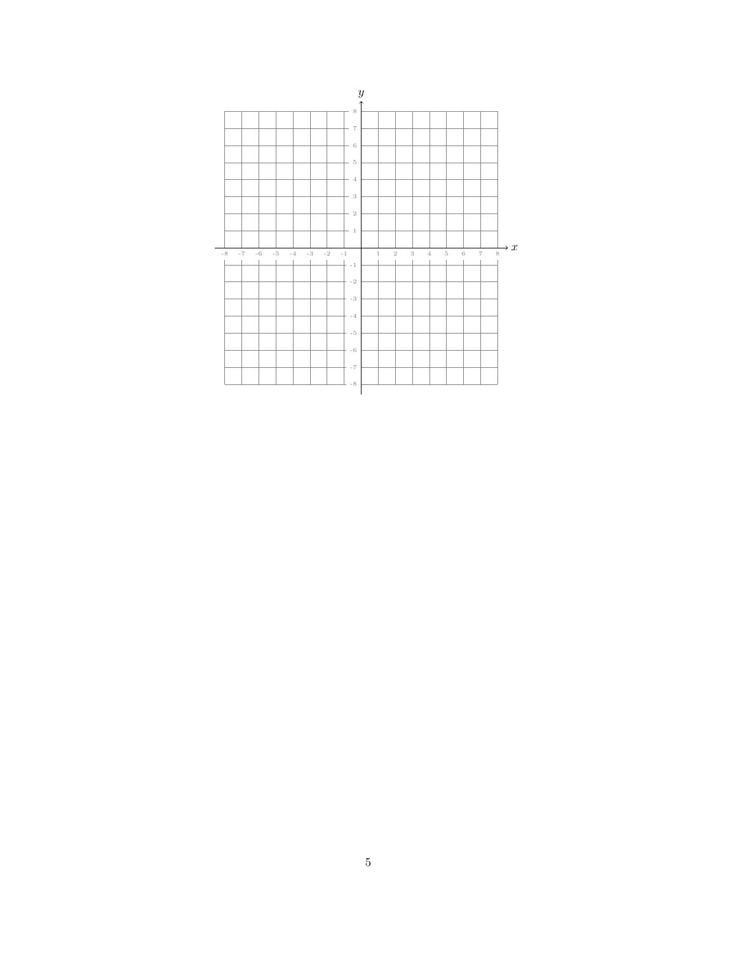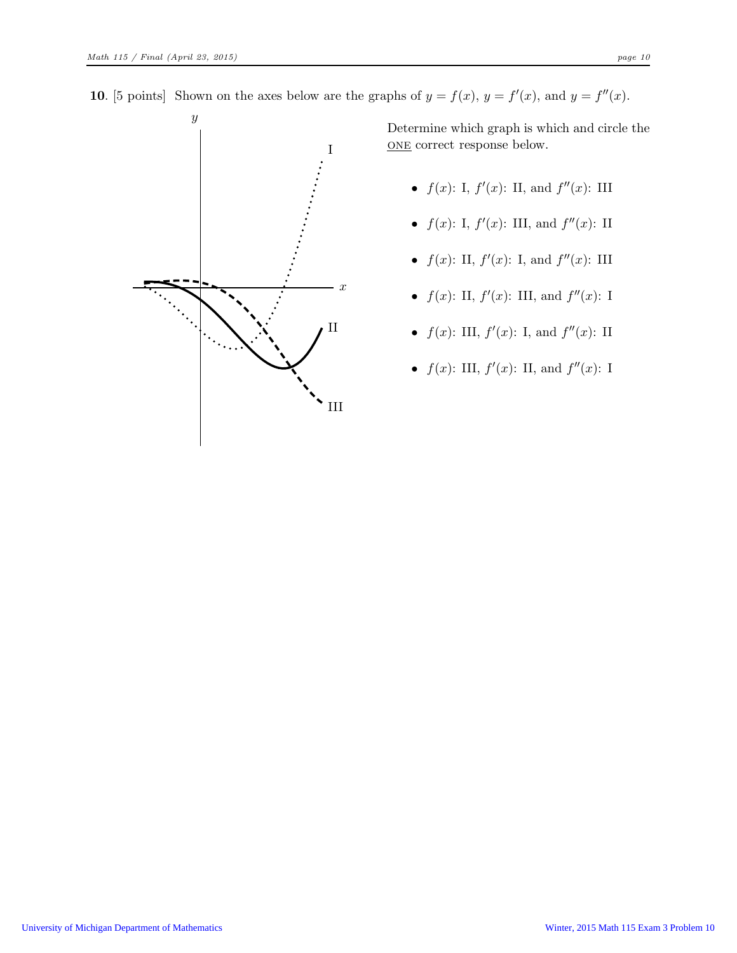10. [5 points] Shown on the axes below are the graphs of  $y = f(x)$ ,  $y = f'(x)$ , and  $y = f''(x)$ .



Determine which graph is which and circle the ONE correct response below.

- $f(x)$ : I,  $f'(x)$ : II, and  $f''(x)$ : III
- $f(x)$ : I,  $f'(x)$ : III, and  $f''(x)$ : II
- $f(x)$ : II,  $f'(x)$ : I, and  $f''(x)$ : III
- $f(x)$ : II,  $f'(x)$ : III, and  $f''(x)$ : I
- $f(x)$ : III,  $f'(x)$ : I, and  $f''(x)$ : II
- $f(x)$ : III,  $f'(x)$ : II, and  $f''(x)$ : I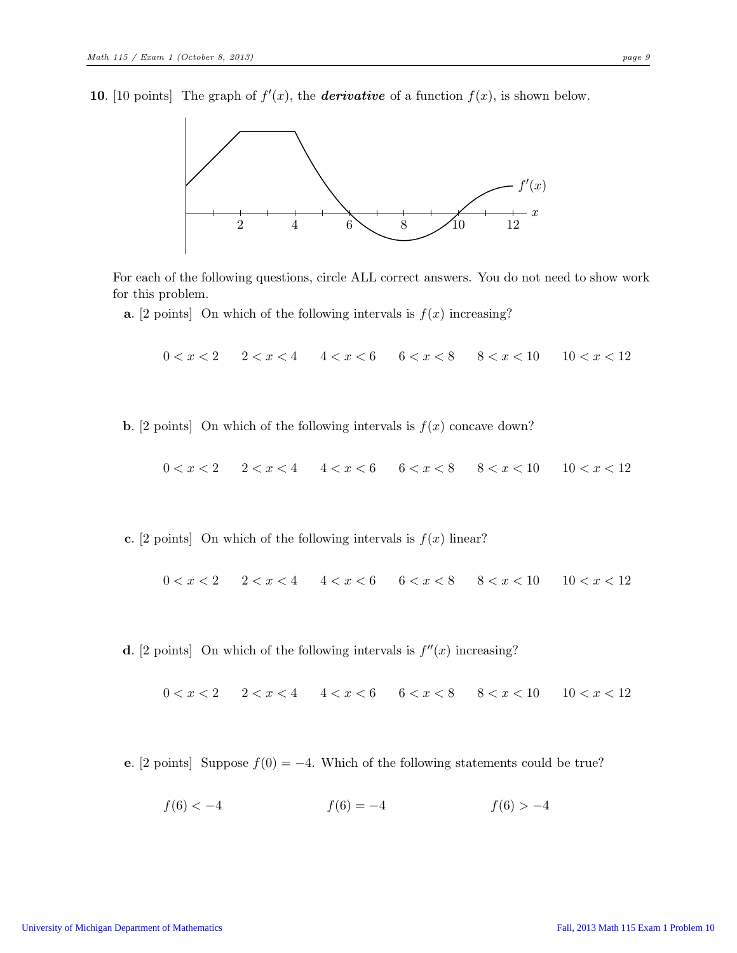**10.** [10 points] The graph of  $f'(x)$ , the **derivative** of a function  $f(x)$ , is shown below.

![](_page_6_Figure_2.jpeg)

For each of the following questions, circle ALL correct answers. You do not need to show work for this problem.

a. [2 points] On which of the following intervals is  $f(x)$  increasing?

 $0 < x < 2$   $2 < x < 4$   $4 < x < 6$   $6 < x < 8$   $8 < x < 10$   $10 < x < 12$ 

**b.** [2 points] On which of the following intervals is  $f(x)$  concave down?

$$
0 < x < 2 \qquad 2 < x < 4 \qquad 4 < x < 6 \qquad 6 < x < 8 \qquad 8 < x < 10 \qquad 10 < x < 12
$$

c. [2 points] On which of the following intervals is  $f(x)$  linear?

$$
0 < x < 2 \qquad 2 < x < 4 \qquad 4 < x < 6 \qquad 6 < x < 8 \qquad 8 < x < 10 \qquad 10 < x < 12
$$

**d**. [2 points] On which of the following intervals is  $f''(x)$  increasing?

 $0 < x < 2$   $2 < x < 4$   $4 < x < 6$   $6 < x < 8$   $8 < x < 10$   $10 < x < 12$ 

e. [2 points] Suppose  $f(0) = -4$ . Which of the following statements could be true?

$$
f(6) < -4 \qquad f(6) = -4 \qquad f(6) > -4
$$